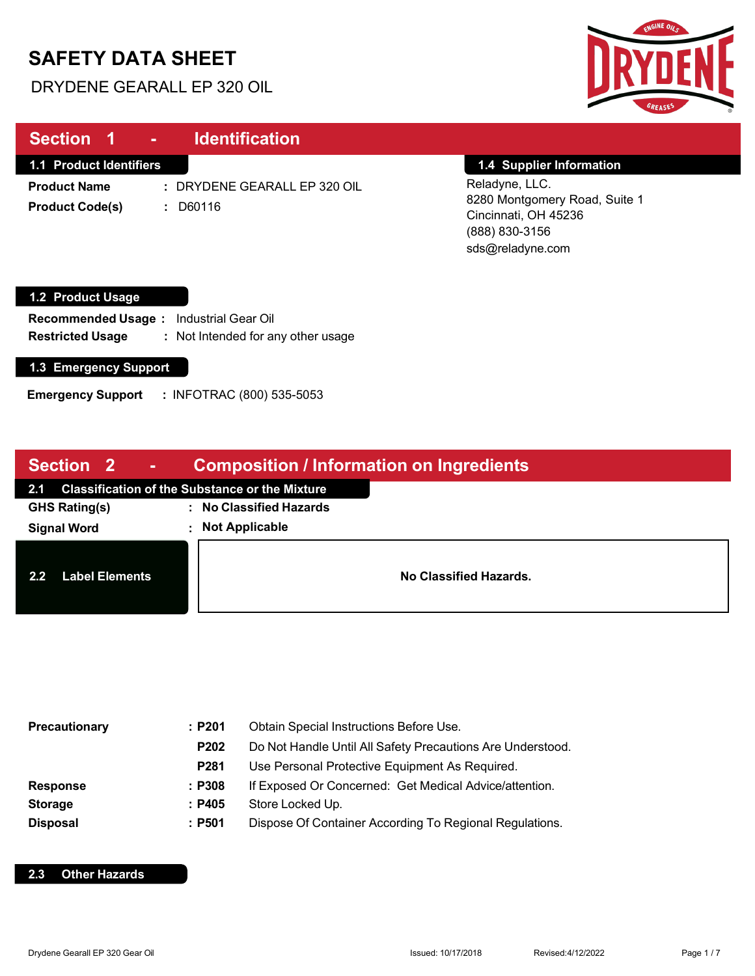# **SAFETY DATA SHEET**

DRYDENE GEARALL EP 320 OIL



| Section 1                                                                                                 |                                                                  |                                                                                                                                           |
|-----------------------------------------------------------------------------------------------------------|------------------------------------------------------------------|-------------------------------------------------------------------------------------------------------------------------------------------|
| <b>1.1 Product Identifiers</b><br><b>Product Name</b><br><b>Product Code(s)</b>                           | : DRYDENE GEARALL EP 320 OIL<br>D60116<br>÷.                     | 1.4 Supplier Information<br>Reladyne, LLC.<br>8280 Montgomery Road, Suite 1<br>Cincinnati, OH 45236<br>(888) 830-3156<br>sds@reladyne.com |
| 1.2 Product Usage<br><b>Recommended Usage:</b><br><b>Restricted Usage</b><br><b>1.3 Emergency Support</b> | <b>Industrial Gear Oil</b><br>: Not Intended for any other usage |                                                                                                                                           |

**Emergency Support :** INFOTRAC (800) 535-5053

| <b>Section 2</b><br><b>ANDRO</b>          | <b>Composition / Information on Ingredients</b>       |  |  |
|-------------------------------------------|-------------------------------------------------------|--|--|
| 2.1                                       | <b>Classification of the Substance or the Mixture</b> |  |  |
| <b>GHS Rating(s)</b>                      | : No Classified Hazards                               |  |  |
| <b>Signal Word</b>                        | : Not Applicable                                      |  |  |
| <b>Label Elements</b><br>$2.2\phantom{0}$ | No Classified Hazards.                                |  |  |

| <b>Precautionary</b> | :P201  | Obtain Special Instructions Before Use.                    |  |
|----------------------|--------|------------------------------------------------------------|--|
|                      | P202   | Do Not Handle Until All Safety Precautions Are Understood. |  |
|                      | P281   | Use Personal Protective Equipment As Required.             |  |
| <b>Response</b>      | : P308 | If Exposed Or Concerned: Get Medical Advice/attention.     |  |
| <b>Storage</b>       | : P405 | Store Locked Up.                                           |  |
| <b>Disposal</b>      | :P501  | Dispose Of Container According To Regional Regulations.    |  |

### **2.3 Other Hazards**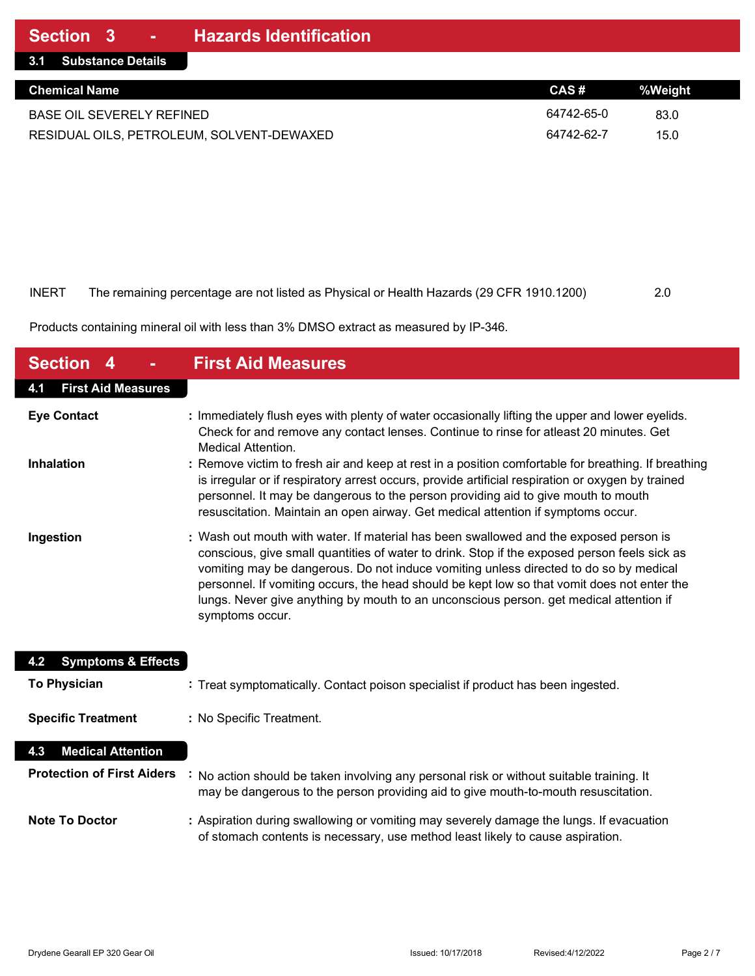| 3.1 Substance Details                     |            |         |
|-------------------------------------------|------------|---------|
| <b>Chemical Name</b>                      | CAS#       | %Weight |
| <b>BASE OIL SEVERELY REFINED</b>          | 64742-65-0 | 83.0    |
| RESIDUAL OILS, PETROLEUM, SOLVENT-DEWAXED | 64742-62-7 | 15.0    |

| INERT | The remaining percentage are not listed as Physical or Health Hazards (29 CFR 1910.1200) | 2.0 |
|-------|------------------------------------------------------------------------------------------|-----|

Products containing mineral oil with less than 3% DMSO extract as measured by IP-346.

| <b>Section</b>                       | <b>First Aid Measures</b>                                                                                                                                                                                                                                                                                                                                                                                                                                                                  |
|--------------------------------------|--------------------------------------------------------------------------------------------------------------------------------------------------------------------------------------------------------------------------------------------------------------------------------------------------------------------------------------------------------------------------------------------------------------------------------------------------------------------------------------------|
| <b>First Aid Measures</b><br>4.1     |                                                                                                                                                                                                                                                                                                                                                                                                                                                                                            |
| <b>Eye Contact</b>                   | : Immediately flush eyes with plenty of water occasionally lifting the upper and lower eyelids.<br>Check for and remove any contact lenses. Continue to rinse for atleast 20 minutes. Get<br>Medical Attention.                                                                                                                                                                                                                                                                            |
| <b>Inhalation</b>                    | : Remove victim to fresh air and keep at rest in a position comfortable for breathing. If breathing<br>is irregular or if respiratory arrest occurs, provide artificial respiration or oxygen by trained<br>personnel. It may be dangerous to the person providing aid to give mouth to mouth<br>resuscitation. Maintain an open airway. Get medical attention if symptoms occur.                                                                                                          |
| Ingestion                            | : Wash out mouth with water. If material has been swallowed and the exposed person is<br>conscious, give small quantities of water to drink. Stop if the exposed person feels sick as<br>vomiting may be dangerous. Do not induce vomiting unless directed to do so by medical<br>personnel. If vomiting occurs, the head should be kept low so that vomit does not enter the<br>lungs. Never give anything by mouth to an unconscious person. get medical attention if<br>symptoms occur. |
| <b>Symptoms &amp; Effects</b><br>4.2 |                                                                                                                                                                                                                                                                                                                                                                                                                                                                                            |
| <b>To Physician</b>                  | : Treat symptomatically. Contact poison specialist if product has been ingested.                                                                                                                                                                                                                                                                                                                                                                                                           |
| <b>Specific Treatment</b>            | : No Specific Treatment.                                                                                                                                                                                                                                                                                                                                                                                                                                                                   |
| <b>Medical Attention</b><br>4.3      |                                                                                                                                                                                                                                                                                                                                                                                                                                                                                            |
| <b>Protection of First Aiders</b>    | No action should be taken involving any personal risk or without suitable training. It<br>may be dangerous to the person providing aid to give mouth-to-mouth resuscitation.                                                                                                                                                                                                                                                                                                               |
| <b>Note To Doctor</b>                | : Aspiration during swallowing or vomiting may severely damage the lungs. If evacuation<br>of stomach contents is necessary, use method least likely to cause aspiration.                                                                                                                                                                                                                                                                                                                  |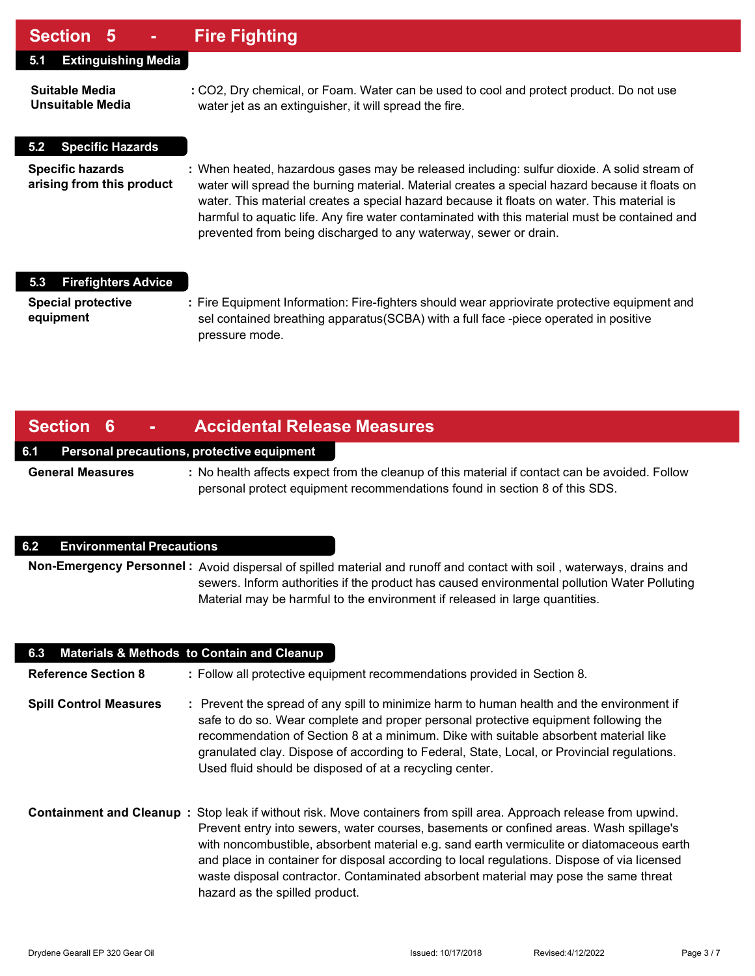### **Section 5 - Fire Fighting**

| UUUNII U                                             | т по гтупину                                                                                                                                                                                                                                                                                                                                                                                                                                                     |
|------------------------------------------------------|------------------------------------------------------------------------------------------------------------------------------------------------------------------------------------------------------------------------------------------------------------------------------------------------------------------------------------------------------------------------------------------------------------------------------------------------------------------|
| <b>Extinguishing Media</b><br>5.1                    |                                                                                                                                                                                                                                                                                                                                                                                                                                                                  |
| <b>Suitable Media</b><br>Unsuitable Media            | : CO2, Dry chemical, or Foam. Water can be used to cool and protect product. Do not use<br>water jet as an extinguisher, it will spread the fire.                                                                                                                                                                                                                                                                                                                |
| <b>Specific Hazards</b><br>5.2                       |                                                                                                                                                                                                                                                                                                                                                                                                                                                                  |
| <b>Specific hazards</b><br>arising from this product | : When heated, hazardous gases may be released including: sulfur dioxide. A solid stream of<br>water will spread the burning material. Material creates a special hazard because it floats on<br>water. This material creates a special hazard because it floats on water. This material is<br>harmful to aquatic life. Any fire water contaminated with this material must be contained and<br>prevented from being discharged to any waterway, sewer or drain. |
| <b>Firefighters Advice</b><br>5.3                    |                                                                                                                                                                                                                                                                                                                                                                                                                                                                  |
| <b>Special protective</b><br>equipment               | : Fire Equipment Information: Fire-fighters should wear appriovirate protective equipment and<br>sel contained breathing apparatus (SCBA) with a full face -piece operated in positive<br>pressure mode.                                                                                                                                                                                                                                                         |

### **Section 6 - Accidental Release Measures**

#### **6.1 Personal precautions, protective equipment**

**General Measures :** No health affects expect from the cleanup of this material if contact can be avoided. Follow personal protect equipment recommendations found in section 8 of this SDS.

#### **6.2 Environmental Precautions**

**Non-Emergency Personnel :** Avoid dispersal of spilled material and runoff and contact with soil , waterways, drains and sewers. Inform authorities if the product has caused environmental pollution Water Polluting Material may be harmful to the environment if released in large quantities.

| 6.3                           | <b>Materials &amp; Methods to Contain and Cleanup</b>                                                                                                                                                                                                                                                                                                                                                                                                                                                                             |
|-------------------------------|-----------------------------------------------------------------------------------------------------------------------------------------------------------------------------------------------------------------------------------------------------------------------------------------------------------------------------------------------------------------------------------------------------------------------------------------------------------------------------------------------------------------------------------|
| <b>Reference Section 8</b>    | : Follow all protective equipment recommendations provided in Section 8.                                                                                                                                                                                                                                                                                                                                                                                                                                                          |
| <b>Spill Control Measures</b> | : Prevent the spread of any spill to minimize harm to human health and the environment if<br>safe to do so. Wear complete and proper personal protective equipment following the<br>recommendation of Section 8 at a minimum. Dike with suitable absorbent material like<br>granulated clay. Dispose of according to Federal, State, Local, or Provincial regulations.<br>Used fluid should be disposed of at a recycling center.                                                                                                 |
|                               | Containment and Cleanup: Stop leak if without risk. Move containers from spill area. Approach release from upwind.<br>Prevent entry into sewers, water courses, basements or confined areas. Wash spillage's<br>with noncombustible, absorbent material e.g. sand earth vermiculite or diatomaceous earth<br>and place in container for disposal according to local regulations. Dispose of via licensed<br>waste disposal contractor. Contaminated absorbent material may pose the same threat<br>hazard as the spilled product. |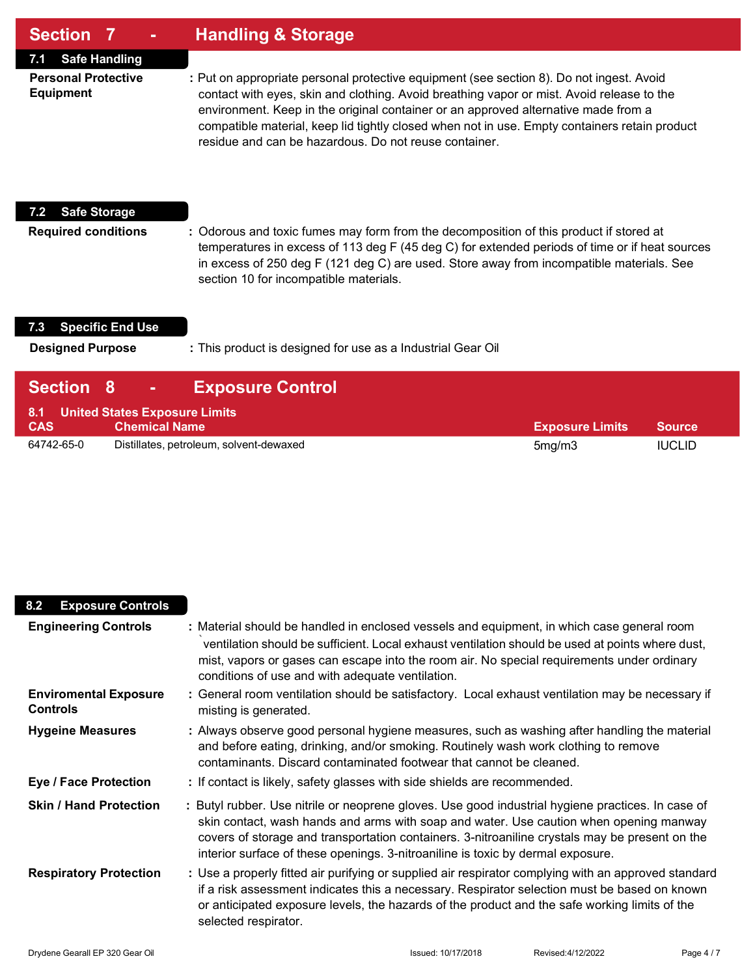| <b>Section 7</b> | <b>Handling &amp; Storage</b> |
|------------------|-------------------------------|
|------------------|-------------------------------|

**7.1 Safe Handling**

**Personal Protective :** Put on appropriate personal protective equipment (see section 8). Do not ingest. Avoid **Equipment** contact with eyes, skin and clothing. Avoid breathing vapor or mist. Avoid release to the environment. Keep in the original container or an approved alternative made from a compatible material, keep lid tightly closed when not in use. Empty containers retain product residue and can be hazardous. Do not reuse container.

#### **7.2 Safe Storage**

**Required conditions :** Odorous and toxic fumes may form from the decomposition of this product if stored at temperatures in excess of 113 deg F (45 deg C) for extended periods of time or if heat sources in excess of 250 deg F (121 deg C) are used. Store away from incompatible materials. See section 10 for incompatible materials.

#### **7.3 Specific End Use**

**Designed Purpose :** This product is designed for use as a Industrial Gear Oil

| <b>Section 8</b> | <b>Exposure Control</b><br>$\mathbf{m} \in \mathbb{R}^n$  |                        |               |
|------------------|-----------------------------------------------------------|------------------------|---------------|
| <b>CAS</b>       | 8.1 United States Exposure Limits<br><b>Chemical Name</b> | <b>Exposure Limits</b> | <b>Source</b> |
| 64742-65-0       | Distillates, petroleum, solvent-dewaxed                   | 5mg/m3                 | <b>IUCLID</b> |

| <b>Exposure Controls</b><br>8.2                 |                                                                                                                                                                                                                                                                                                                                                                                  |
|-------------------------------------------------|----------------------------------------------------------------------------------------------------------------------------------------------------------------------------------------------------------------------------------------------------------------------------------------------------------------------------------------------------------------------------------|
| <b>Engineering Controls</b>                     | : Material should be handled in enclosed vessels and equipment, in which case general room<br>ventilation should be sufficient. Local exhaust ventilation should be used at points where dust,<br>mist, vapors or gases can escape into the room air. No special requirements under ordinary<br>conditions of use and with adequate ventilation.                                 |
| <b>Enviromental Exposure</b><br><b>Controls</b> | : General room ventilation should be satisfactory. Local exhaust ventilation may be necessary if<br>misting is generated.                                                                                                                                                                                                                                                        |
| <b>Hygeine Measures</b>                         | : Always observe good personal hygiene measures, such as washing after handling the material<br>and before eating, drinking, and/or smoking. Routinely wash work clothing to remove<br>contaminants. Discard contaminated footwear that cannot be cleaned.                                                                                                                       |
| <b>Eye / Face Protection</b>                    | : If contact is likely, safety glasses with side shields are recommended.                                                                                                                                                                                                                                                                                                        |
| <b>Skin / Hand Protection</b>                   | : Butyl rubber. Use nitrile or neoprene gloves. Use good industrial hygiene practices. In case of<br>skin contact, wash hands and arms with soap and water. Use caution when opening manway<br>covers of storage and transportation containers. 3-nitroaniline crystals may be present on the<br>interior surface of these openings. 3-nitroaniline is toxic by dermal exposure. |
| <b>Respiratory Protection</b>                   | : Use a properly fitted air purifying or supplied air respirator complying with an approved standard<br>if a risk assessment indicates this a necessary. Respirator selection must be based on known<br>or anticipated exposure levels, the hazards of the product and the safe working limits of the<br>selected respirator.                                                    |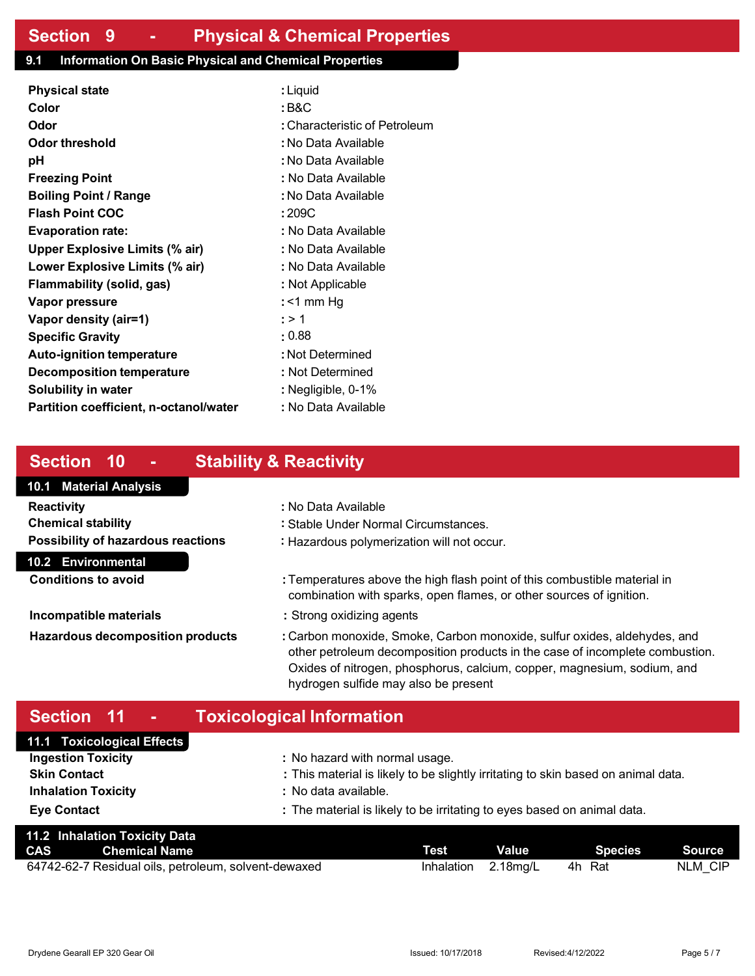### **9.1 Information On Basic Physical and Chemical Properties**

| <b>Physical state</b>                  | : Liquid                      |
|----------------------------------------|-------------------------------|
| Color                                  | : B&C                         |
| Odor                                   | : Characteristic of Petroleum |
| Odor threshold                         | : No Data Available           |
| рH                                     | : No Data Available           |
| <b>Freezing Point</b>                  | : No Data Available           |
| <b>Boiling Point / Range</b>           | : No Data Available           |
| <b>Flash Point COC</b>                 | :209C                         |
| <b>Evaporation rate:</b>               | : No Data Available           |
| <b>Upper Explosive Limits (% air)</b>  | : No Data Available           |
| Lower Explosive Limits (% air)         | : No Data Available           |
| Flammability (solid, gas)              | : Not Applicable              |
| Vapor pressure                         | : <1 mm Hq                    |
| Vapor density (air=1)                  | : > 1                         |
| <b>Specific Gravity</b>                | : 0.88                        |
| <b>Auto-ignition temperature</b>       | : Not Determined              |
| Decomposition temperature              | : Not Determined              |
| <b>Solubility in water</b>             | : Negligible, 0-1%            |
| Partition coefficient, n-octanol/water | : No Data Available           |

### **Section 10 - Stability & Reactivity**

# **10.1 Material Analysis**

| Reactivity                                | : No Data Available |
|-------------------------------------------|---------------------|
| Chemical stability                        | : Stable Under Norr |
| <b>Possibility of hazardous reactions</b> | : Hazardous polyme  |

#### **10.2 Environmental**

**Conditions to avoid :** Temperatures above the high flash point of this combustible material in combination with sparks, open flames, or other sources of ignition.

- **Incompatible materials :** Strong oxidizing agents
- **Hazardous decomposition products :** Carbon monoxide, Smoke, Carbon monoxide, sulfur oxides, aldehydes, and other petroleum decomposition products in the case of incomplete combustion. Oxides of nitrogen, phosphorus, calcium, copper, magnesium, sodium, and hydrogen sulfide may also be present

# **Section 11 - Toxicological Information**

| 11.1 Toxicological Effects |                                                                                   |
|----------------------------|-----------------------------------------------------------------------------------|
| <b>Ingestion Toxicity</b>  | : No hazard with normal usage.                                                    |
| <b>Skin Contact</b>        | : This material is likely to be slightly irritating to skin based on animal data. |
| <b>Inhalation Toxicity</b> | : No data available.                                                              |
| <b>Eye Contact</b>         | : The material is likely to be irritating to eyes based on animal data.           |

**Chemical stability :** Stable Under Normal Circumstances. **Possibility of hazardous reactions :** Hazardous polymerization will not occur.

| 11.2 Inhalation Toxicity Data |                                                      |                     |              |         |               |
|-------------------------------|------------------------------------------------------|---------------------|--------------|---------|---------------|
|                               | <b>CAS</b> Chemical Name                             | Test                | <b>Value</b> | Species | <b>Source</b> |
|                               | 64742-62-7 Residual oils, petroleum, solvent-dewaxed | Inhalation 2.18mg/L |              | 4h Rat  | NLM CIP       |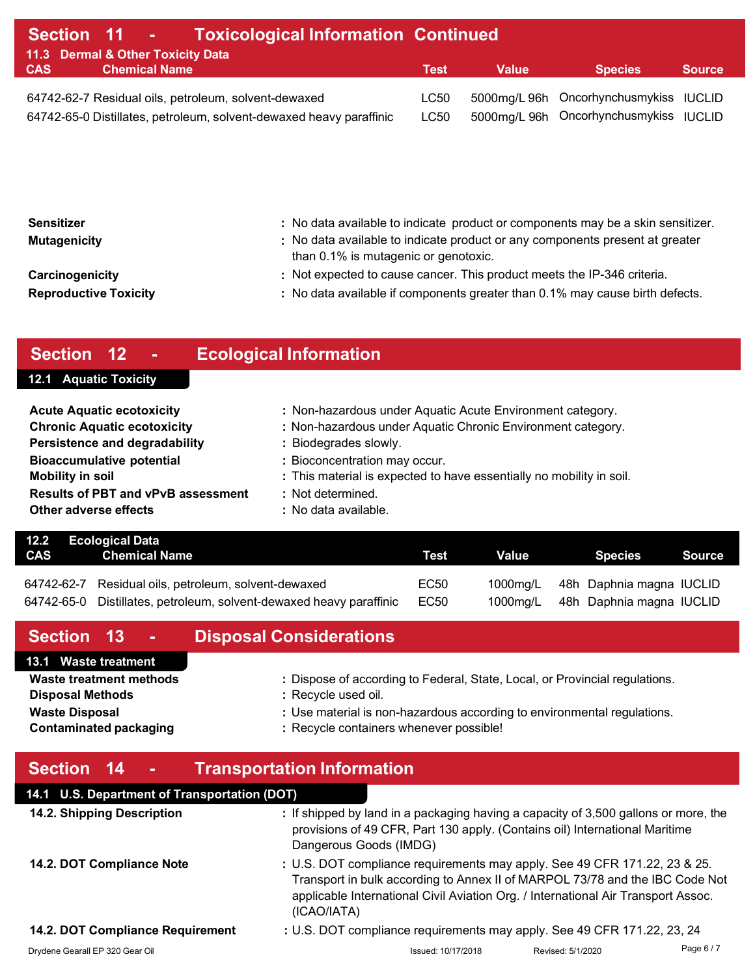| Section 11 - Toxicological Information Continued |                                   |                                                                     |      |       |                                        |               |
|--------------------------------------------------|-----------------------------------|---------------------------------------------------------------------|------|-------|----------------------------------------|---------------|
|                                                  | 11.3 Dermal & Other Toxicity Data |                                                                     |      |       |                                        |               |
| <b>CAS</b>                                       | <b>Chemical Name</b>              |                                                                     | Test | Value | <b>Species</b>                         | <b>Source</b> |
|                                                  |                                   | 64742-62-7 Residual oils, petroleum, solvent-dewaxed                | LC50 |       | 5000mg/L 96h Oncorhynchusmykiss IUCLID |               |
|                                                  |                                   | 64742-65-0 Distillates, petroleum, solvent-dewaxed heavy paraffinic | LC50 |       | 5000mg/L 96h Oncorhynchusmykiss IUCLID |               |

| <b>Sensitizer</b><br><b>Mutagenicity</b> | : No data available to indicate product or components may be a skin sensitizer.<br>: No data available to indicate product or any components present at greater<br>than 0.1% is mutagenic or genotoxic. |
|------------------------------------------|---------------------------------------------------------------------------------------------------------------------------------------------------------------------------------------------------------|
| Carcinogenicity                          | : Not expected to cause cancer. This product meets the IP-346 criteria.                                                                                                                                 |
| <b>Reproductive Toxicity</b>             | : No data available if components greater than 0.1% may cause birth defects.                                                                                                                            |

# **Section 12 - Ecological Information**

### **12.1 Aquatic Toxicity**

| <b>Acute Aquatic ecotoxicity</b>          | : Non-hazardous under Aquatic Acute Environment category.            |
|-------------------------------------------|----------------------------------------------------------------------|
| <b>Chronic Aquatic ecotoxicity</b>        | : Non-hazardous under Aquatic Chronic Environment category.          |
| <b>Persistence and degradability</b>      | : Biodegrades slowly.                                                |
| <b>Bioaccumulative potential</b>          | : Bioconcentration may occur.                                        |
| <b>Mobility in soil</b>                   | : This material is expected to have essentially no mobility in soil. |
| <b>Results of PBT and vPvB assessment</b> | : Not determined.                                                    |
| Other adverse effects                     | : No data available.                                                 |

|     | 12.2 Ecological Data                                                |      |              |                                   |               |
|-----|---------------------------------------------------------------------|------|--------------|-----------------------------------|---------------|
| CAS | <b>Chemical Name</b>                                                | Test | <b>Value</b> | <b>Species</b>                    | <b>Source</b> |
|     |                                                                     |      |              |                                   |               |
|     | 64742-62-7 Residual oils, petroleum, solvent-dewaxed                | EC50 |              | 1000mg/L 48h Daphnia magna IUCLID |               |
|     | 64742-65-0 Distillates, petroleum, solvent-dewaxed heavy paraffinic | EC50 |              | 1000mg/L 48h Daphnia magna IUCLID |               |

| Section 13 -                   | <b>Disposal Considerations</b>                                              |
|--------------------------------|-----------------------------------------------------------------------------|
| 13.1 Waste treatment           |                                                                             |
| <b>Waste treatment methods</b> | : Dispose of according to Federal, State, Local, or Provincial regulations. |
| <b>Disposal Methods</b>        | : Recycle used oil.                                                         |
| <b>Waste Disposal</b>          | : Use material is non-hazardous according to environmental regulations.     |
| <b>Contaminated packaging</b>  | : Recycle containers whenever possible!                                     |

# **Section 14 - Transportation Information**

# **14.1 U.S. Department of Transportation (DOT)**

| 14.2. Shipping Description       | : If shipped by land in a packaging having a capacity of 3,500 gallons or more, the<br>provisions of 49 CFR, Part 130 apply. (Contains oil) International Maritime<br>Dangerous Goods (IMDG)                                                                  |                   |          |
|----------------------------------|---------------------------------------------------------------------------------------------------------------------------------------------------------------------------------------------------------------------------------------------------------------|-------------------|----------|
| 14.2. DOT Compliance Note        | : U.S. DOT compliance requirements may apply. See 49 CFR 171.22, 23 & 25.<br>Transport in bulk according to Annex II of MARPOL 73/78 and the IBC Code Not<br>applicable International Civil Aviation Org. / International Air Transport Assoc.<br>(ICAO/IATA) |                   |          |
| 14.2. DOT Compliance Requirement | : U.S. DOT compliance requirements may apply. See 49 CFR 171.22, 23, 24                                                                                                                                                                                       |                   |          |
| Drydene Gearall EP 320 Gear Oil  | Issued: 10/17/2018                                                                                                                                                                                                                                            | Revised: 5/1/2020 | Page 6/7 |